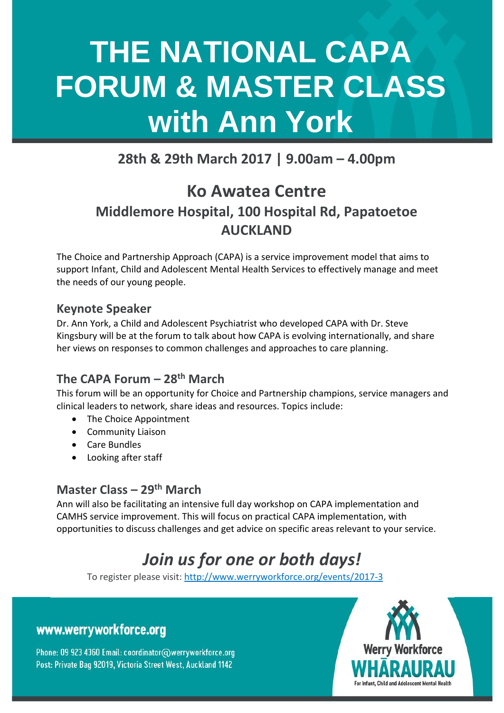# **THE NATIONAL CAPA FORUM & MASTER CLASS with Ann York**

### **28th & 29th March 2017 | 9.00am – 4.00pm**

### **Ko Awatea Centre Middlemore Hospital, 100 Hospital Rd, Papatoetoe AUCKLAND**

The Choice and Partnership Approach (CAPA) is a service improvement model that aims to support Infant, Child and Adolescent Mental Health Services to effectively manage and meet the needs of our young people.

#### **Keynote Speaker**

Dr. Ann York, a Child and Adolescent Psychiatrist who developed CAPA with Dr. Steve Kingsbury will be at the forum to talk about how CAPA is evolving internationally, and share her views on responses to common challenges and approaches to care planning.

### **The CAPA Forum – 28th March**

This forum will be an opportunity for Choice and Partnership champions, service managers and clinical leaders to network, share ideas and resources. Topics include:

- The Choice Appointment
- Community Liaison
- Care Bundles
- Looking after staff

#### **Master Class – 29th March**

Ann will also be facilitating an intensive full day workshop on CAPA implementation and CAMHS service improvement. This will focus on practical CAPA implementation, with opportunities to discuss challenges and get advice on specific areas relevant to your service.

### *Join us for one or both days!*

To register please visit: http://www.werryworkforce.org/events/2017-3

### www.werryworkforce.org

Phone: 09 923 4360 Email: coordinator@werryworkforce.org Post: Private Bag 92019, Victoria Street West, Auckland 1142